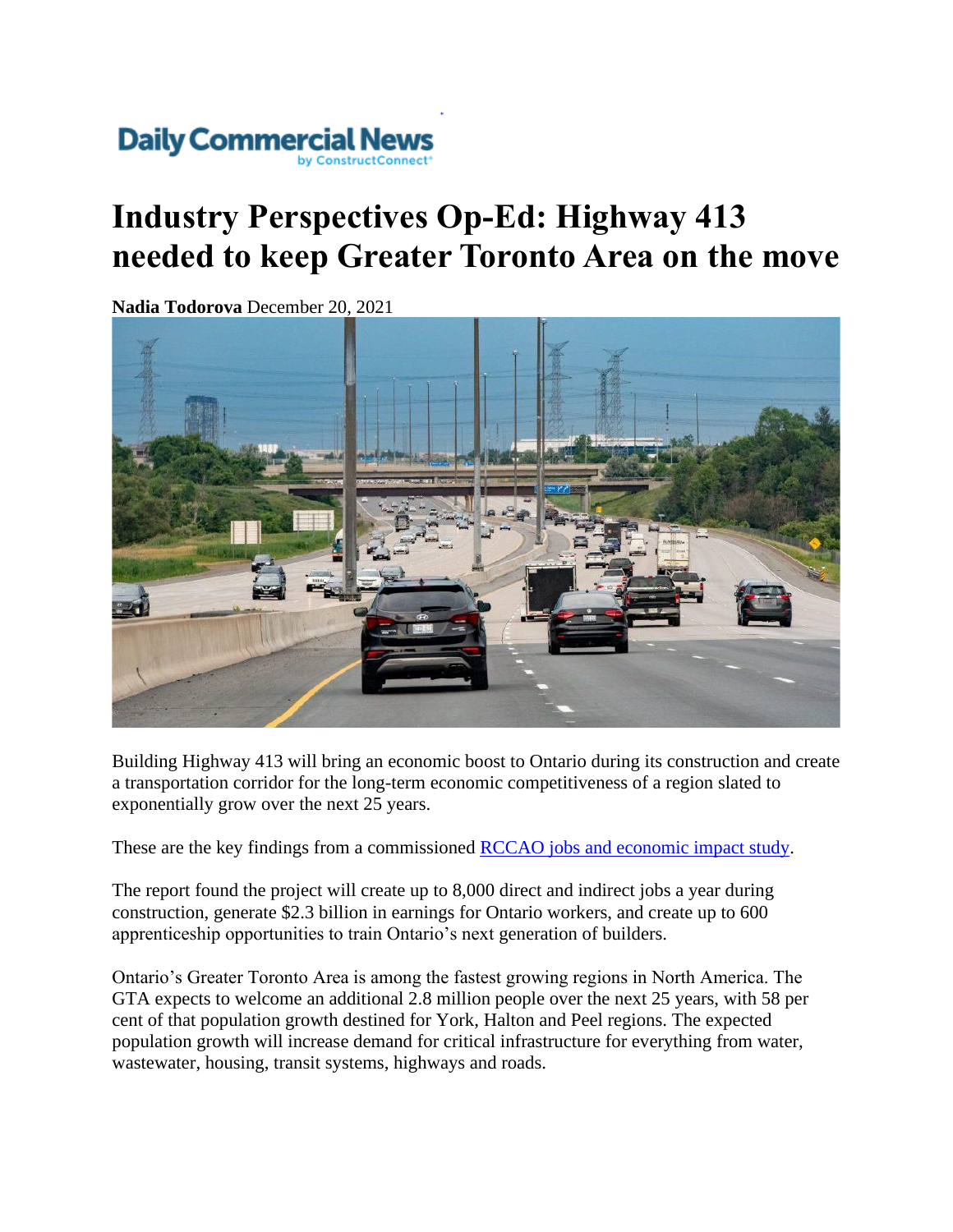

## **Industry Perspectives Op-Ed: Highway 413 needed to keep Greater Toronto Area on the move**

**Nadia Todorova** December 20, 2021



Building Highway 413 will bring an economic boost to Ontario during its construction and create a transportation corridor for the long-term economic competitiveness of a region slated to exponentially grow over the next 25 years.

These are the key findings from a commissioned [RCCAO jobs and economic impact study.](https://rccao.com/research/files/RCCAO-PRISM-413-REPORT-NOV-2021.pdf)

The report found the project will create up to 8,000 direct and indirect jobs a year during construction, generate \$2.3 billion in earnings for Ontario workers, and create up to 600 apprenticeship opportunities to train Ontario's next generation of builders.

Ontario's Greater Toronto Area is among the fastest growing regions in North America. The GTA expects to welcome an additional 2.8 million people over the next 25 years, with 58 per cent of that population growth destined for York, Halton and Peel regions. The expected population growth will increase demand for critical infrastructure for everything from water, wastewater, housing, transit systems, highways and roads.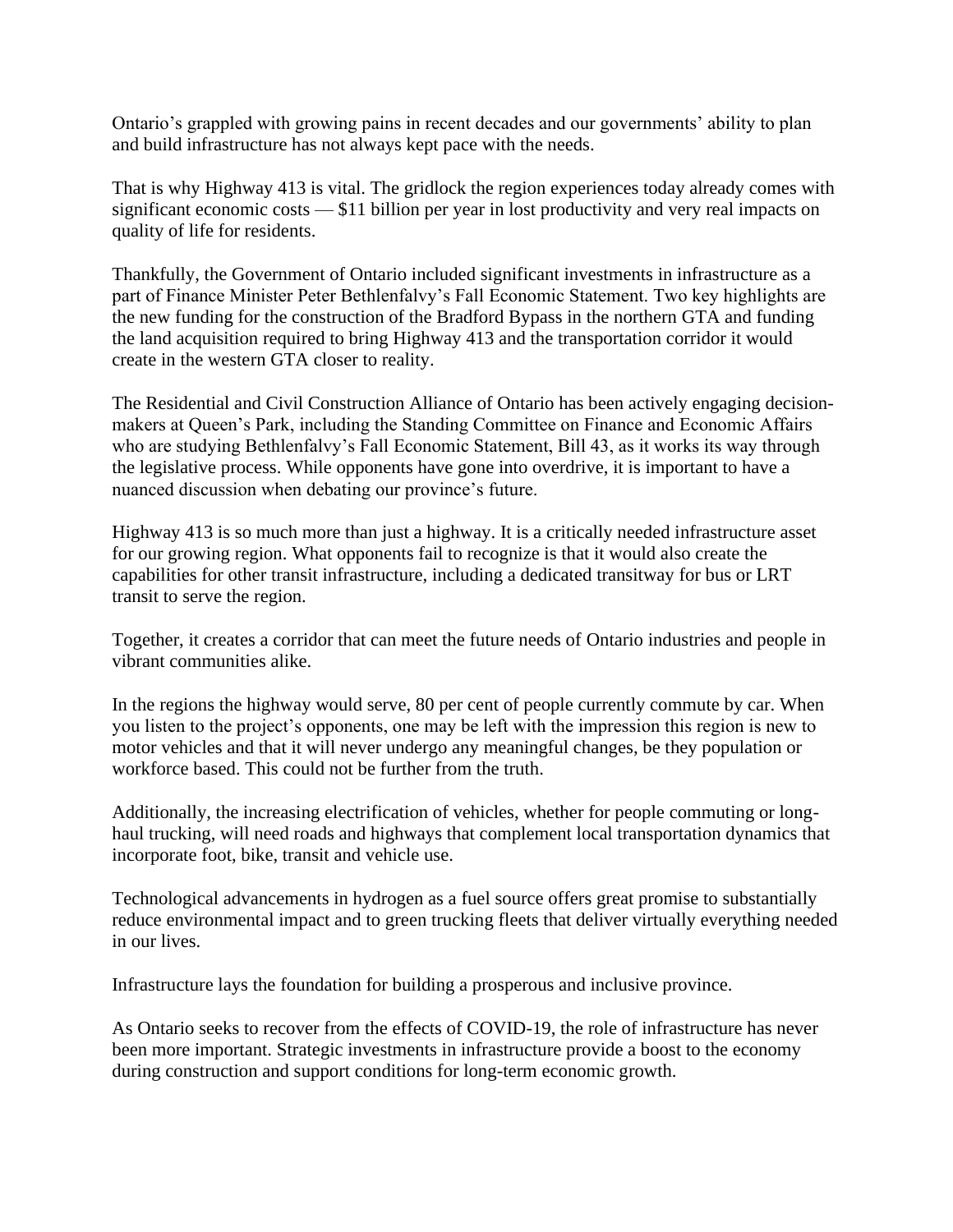Ontario's grappled with growing pains in recent decades and our governments' ability to plan and build infrastructure has not always kept pace with the needs.

That is why Highway 413 is vital. The gridlock the region experiences today already comes with significant economic costs — \$11 billion per year in lost productivity and very real impacts on quality of life for residents.

Thankfully, the Government of Ontario included significant investments in infrastructure as a part of Finance Minister Peter Bethlenfalvy's Fall Economic Statement. Two key highlights are the new funding for the construction of the Bradford Bypass in the northern GTA and funding the land acquisition required to bring Highway 413 and the transportation corridor it would create in the western GTA closer to reality.

The Residential and Civil Construction Alliance of Ontario has been actively engaging decisionmakers at Queen's Park, including the Standing Committee on Finance and Economic Affairs who are studying Bethlenfalvy's Fall Economic Statement, Bill 43, as it works its way through the legislative process. While opponents have gone into overdrive, it is important to have a nuanced discussion when debating our province's future.

Highway 413 is so much more than just a highway. It is a critically needed infrastructure asset for our growing region. What opponents fail to recognize is that it would also create the capabilities for other transit infrastructure, including a dedicated transitway for bus or LRT transit to serve the region.

Together, it creates a corridor that can meet the future needs of Ontario industries and people in vibrant communities alike.

In the regions the highway would serve, 80 per cent of people currently commute by car. When you listen to the project's opponents, one may be left with the impression this region is new to motor vehicles and that it will never undergo any meaningful changes, be they population or workforce based. This could not be further from the truth.

Additionally, the increasing electrification of vehicles, whether for people commuting or longhaul trucking, will need roads and highways that complement local transportation dynamics that incorporate foot, bike, transit and vehicle use.

Technological advancements in hydrogen as a fuel source offers great promise to substantially reduce environmental impact and to green trucking fleets that deliver virtually everything needed in our lives.

Infrastructure lays the foundation for building a prosperous and inclusive province.

As Ontario seeks to recover from the effects of COVID-19, the role of infrastructure has never been more important. Strategic investments in infrastructure provide a boost to the economy during construction and support conditions for long-term economic growth.